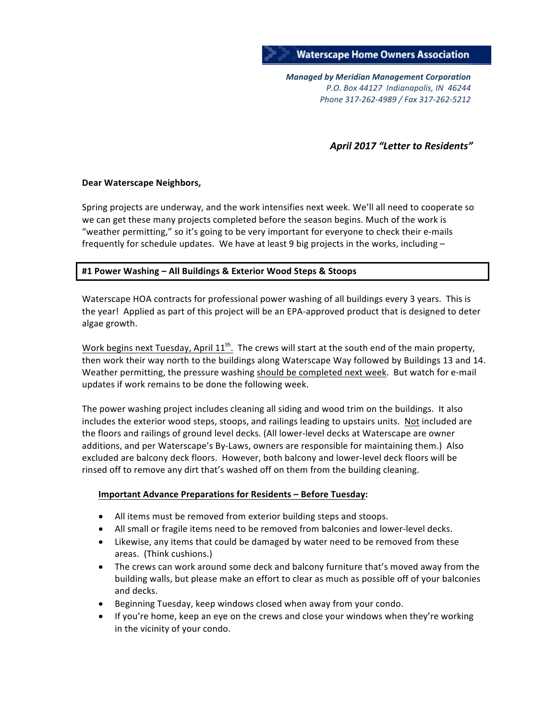

*Managed by Meridian Management Corporation P.O. Box 44127 Indianapolis, IN 46244 Phone 317-262-4989 / Fax 317-262-5212*

#### April 2017 "Letter to Residents"

#### **Dear Waterscape Neighbors,**

Spring projects are underway, and the work intensifies next week. We'll all need to cooperate so we can get these many projects completed before the season begins. Much of the work is "weather permitting," so it's going to be very important for everyone to check their e-mails frequently for schedule updates. We have at least 9 big projects in the works, including  $-$ 

#### **#1 Power Washing – All Buildings & Exterior Wood Steps & Stoops**

Waterscape HOA contracts for professional power washing of all buildings every 3 years. This is the year! Applied as part of this project will be an EPA-approved product that is designed to deter algae growth.

Work begins next Tuesday, April  $11<sup>th</sup>$ . The crews will start at the south end of the main property, then work their way north to the buildings along Waterscape Way followed by Buildings 13 and 14. Weather permitting, the pressure washing should be completed next week. But watch for e-mail updates if work remains to be done the following week.

The power washing project includes cleaning all siding and wood trim on the buildings. It also includes the exterior wood steps, stoops, and railings leading to upstairs units. Not included are the floors and railings of ground level decks. (All lower-level decks at Waterscape are owner additions, and per Waterscape's By-Laws, owners are responsible for maintaining them.) Also excluded are balcony deck floors. However, both balcony and lower-level deck floors will be rinsed off to remove any dirt that's washed off on them from the building cleaning.

#### **Important Advance Preparations for Residents – Before Tuesday:**

- All items must be removed from exterior building steps and stoops.
- All small or fragile items need to be removed from balconies and lower-level decks.
- Likewise, any items that could be damaged by water need to be removed from these areas. (Think cushions.)
- The crews can work around some deck and balcony furniture that's moved away from the building walls, but please make an effort to clear as much as possible off of your balconies and decks.
- Beginning Tuesday, keep windows closed when away from your condo.
- If you're home, keep an eye on the crews and close your windows when they're working in the vicinity of your condo.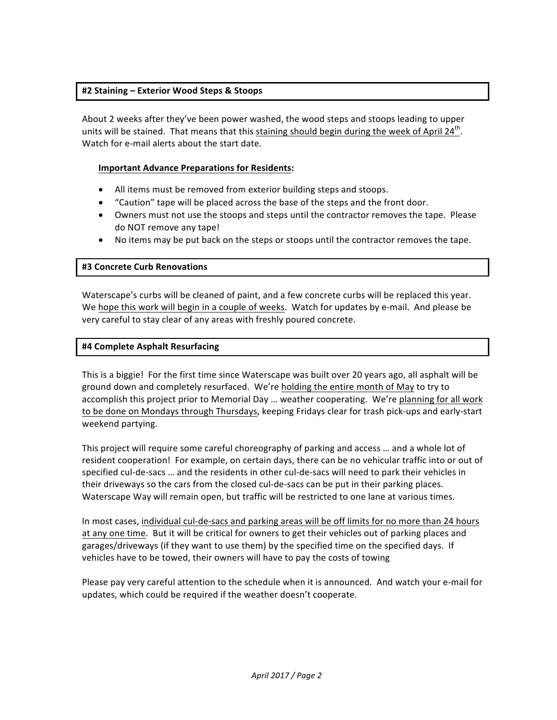#### **#2 Staining – Exterior Wood Steps & Stoops**

About 2 weeks after they've been power washed, the wood steps and stoops leading to upper units will be stained. That means that this staining should begin during the week of April 24<sup>th</sup>. Watch for e-mail alerts about the start date.

#### **Important Advance Preparations for Residents:**

- All items must be removed from exterior building steps and stoops.
- "Caution" tape will be placed across the base of the steps and the front door.
- Owners must not use the stoops and steps until the contractor removes the tape. Please do NOT remove any tape!
- No items may be put back on the steps or stoops until the contractor removes the tape.

#### **#3 Concrete Curb Renovations**

Waterscape's curbs will be cleaned of paint, and a few concrete curbs will be replaced this year. We hope this work will begin in a couple of weeks. Watch for updates by e-mail. And please be very careful to stay clear of any areas with freshly poured concrete.

#### **#4 Complete Asphalt Resurfacing**

This is a biggie! For the first time since Waterscape was built over 20 years ago, all asphalt will be ground down and completely resurfaced. We're holding the entire month of May to try to accomplish this project prior to Memorial Day ... weather cooperating. We're planning for all work to be done on Mondays through Thursdays, keeping Fridays clear for trash pick-ups and early-start weekend partying.

This project will require some careful choreography of parking and access ... and a whole lot of resident cooperation! For example, on certain days, there can be no vehicular traffic into or out of specified cul-de-sacs ... and the residents in other cul-de-sacs will need to park their vehicles in their driveways so the cars from the closed cul-de-sacs can be put in their parking places. Waterscape Way will remain open, but traffic will be restricted to one lane at various times.

In most cases, individual cul-de-sacs and parking areas will be off limits for no more than 24 hours at any one time. But it will be critical for owners to get their vehicles out of parking places and garages/driveways (if they want to use them) by the specified time on the specified days. If vehicles have to be towed, their owners will have to pay the costs of towing

Please pay very careful attention to the schedule when it is announced. And watch your e-mail for updates, which could be required if the weather doesn't cooperate.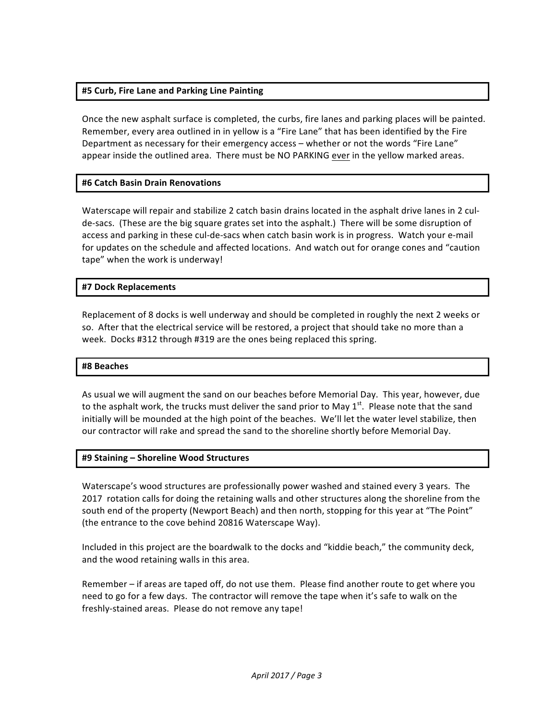#### **#5 Curb, Fire Lane and Parking Line Painting**

Once the new asphalt surface is completed, the curbs, fire lanes and parking places will be painted. Remember, every area outlined in in yellow is a "Fire Lane" that has been identified by the Fire Department as necessary for their emergency access – whether or not the words "Fire Lane" appear inside the outlined area. There must be NO PARKING ever in the yellow marked areas.

#### **#6 Catch Basin Drain Renovations**

Waterscape will repair and stabilize 2 catch basin drains located in the asphalt drive lanes in 2 culde-sacs. (These are the big square grates set into the asphalt.) There will be some disruption of access and parking in these cul-de-sacs when catch basin work is in progress. Watch your e-mail for updates on the schedule and affected locations. And watch out for orange cones and "caution tape" when the work is underway!

#### **#7 Dock Replacements**

Replacement of 8 docks is well underway and should be completed in roughly the next 2 weeks or so. After that the electrical service will be restored, a project that should take no more than a week. Docks #312 through #319 are the ones being replaced this spring.

#### **#8 Beaches**

As usual we will augment the sand on our beaches before Memorial Day. This year, however, due to the asphalt work, the trucks must deliver the sand prior to May  $1<sup>st</sup>$ . Please note that the sand initially will be mounded at the high point of the beaches. We'll let the water level stabilize, then our contractor will rake and spread the sand to the shoreline shortly before Memorial Day.

#### **#9 Staining – Shoreline Wood Structures**

Waterscape's wood structures are professionally power washed and stained every 3 years. The 2017 rotation calls for doing the retaining walls and other structures along the shoreline from the south end of the property (Newport Beach) and then north, stopping for this year at "The Point" (the entrance to the cove behind 20816 Waterscape Way).

Included in this project are the boardwalk to the docks and "kiddie beach," the community deck, and the wood retaining walls in this area.

Remember – if areas are taped off, do not use them. Please find another route to get where you need to go for a few days. The contractor will remove the tape when it's safe to walk on the freshly-stained areas. Please do not remove any tape!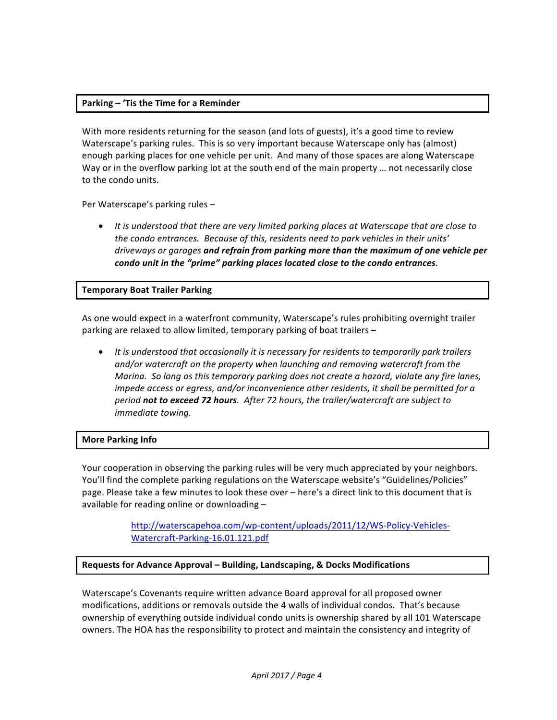#### **Parking – 'Tis the Time for a Reminder**

With more residents returning for the season (and lots of guests), it's a good time to review Waterscape's parking rules. This is so very important because Waterscape only has (almost) enough parking places for one vehicle per unit. And many of those spaces are along Waterscape Way or in the overflow parking lot at the south end of the main property ... not necessarily close to the condo units.

Per Waterscape's parking rules -

• It is understood that there are very limited parking places at Waterscape that are close to the condo entrances. Because of this, residents need to park vehicles in their units' driveways or garages and refrain from parking more than the maximum of one vehicle per *condo unit in the "prime" parking places located close to the condo entrances.* 

#### **Temporary Boat Trailer Parking**

As one would expect in a waterfront community, Waterscape's rules prohibiting overnight trailer parking are relaxed to allow limited, temporary parking of boat trailers -

• It is understood that occasionally it is necessary for residents to temporarily park trailers and/or watercraft on the property when launching and removing watercraft from the *Marina.* So long as this temporary parking does not create a hazard, violate any fire lanes, *impede access or egress, and/or inconvenience other residents, it shall be permitted for a period not to exceed 72 hours. After 72 hours, the trailer/watercraft are subject to immediate towing.* 

#### **More Parking Info**

Your cooperation in observing the parking rules will be very much appreciated by your neighbors. You'll find the complete parking regulations on the Waterscape website's "Guidelines/Policies" page. Please take a few minutes to look these over – here's a direct link to this document that is available for reading online or downloading  $-$ 

> http://waterscapehoa.com/wp-content/uploads/2011/12/WS-Policy-Vehicles-Watercraft-Parking-16.01.121.pdf

### **Requests for Advance Approval – Building, Landscaping, & Docks Modifications**

Waterscape's Covenants require written advance Board approval for all proposed owner modifications, additions or removals outside the 4 walls of individual condos. That's because ownership of everything outside individual condo units is ownership shared by all 101 Waterscape owners. The HOA has the responsibility to protect and maintain the consistency and integrity of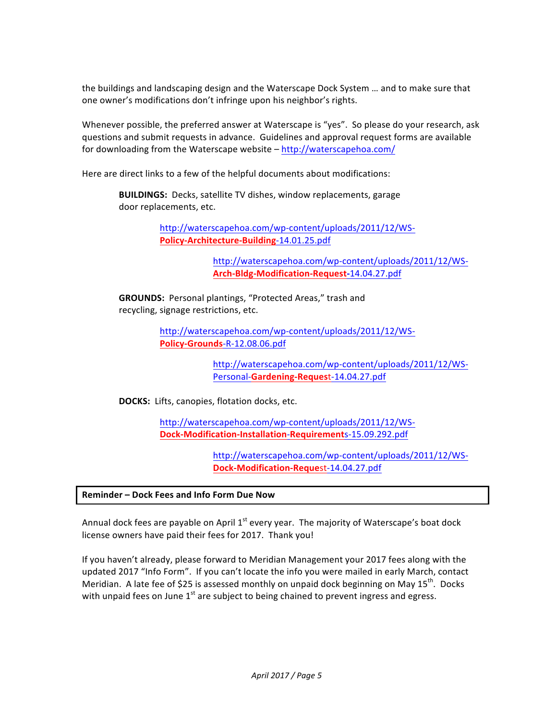the buildings and landscaping design and the Waterscape Dock System ... and to make sure that one owner's modifications don't infringe upon his neighbor's rights.

Whenever possible, the preferred answer at Waterscape is "yes". So please do your research, ask questions and submit requests in advance. Guidelines and approval request forms are available for downloading from the Waterscape website - http://waterscapehoa.com/

Here are direct links to a few of the helpful documents about modifications:

**BUILDINGS:** Decks, satellite TV dishes, window replacements, garage door replacements, etc.

> http://waterscapehoa.com/wp-content/uploads/2011/12/WS-**Policy-Architecture-Building**-14.01.25.pdf

> > http://waterscapehoa.com/wp-content/uploads/2011/12/WS-**Arch-Bldg-Modification-Request-**14.04.27.pdf

**GROUNDS:** Personal plantings, "Protected Areas," trash and recycling, signage restrictions, etc.

> http://waterscapehoa.com/wp-content/uploads/2011/12/WS-**Policy-Grounds**-R-12.08.06.pdf

> > http://waterscapehoa.com/wp-content/uploads/2011/12/WS-Personal-**Gardening-Reques**t-14.04.27.pdf

**DOCKS:** Lifts, canopies, flotation docks, etc.

http://waterscapehoa.com/wp-content/uploads/2011/12/WS-**Dock-Modification-Installation**-**Requirement**s-15.09.292.pdf

> http://waterscapehoa.com/wp-content/uploads/2011/12/WS-**Dock-Modification-Reque**st-14.04.27.pdf

**Reminder – Dock Fees and Info Form Due Now**

Annual dock fees are payable on April  $1^{st}$  every year. The majority of Waterscape's boat dock license owners have paid their fees for 2017. Thank you!

If you haven't already, please forward to Meridian Management your 2017 fees along with the updated 2017 "Info Form". If you can't locate the info you were mailed in early March, contact Meridian. A late fee of \$25 is assessed monthly on unpaid dock beginning on May  $15^{th}$ . Docks with unpaid fees on June  $1<sup>st</sup>$  are subject to being chained to prevent ingress and egress.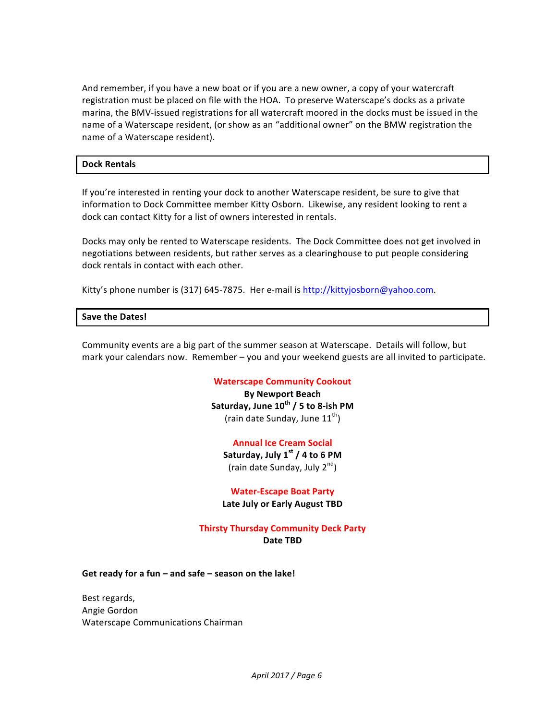And remember, if you have a new boat or if you are a new owner, a copy of your watercraft registration must be placed on file with the HOA. To preserve Waterscape's docks as a private marina, the BMV-issued registrations for all watercraft moored in the docks must be issued in the name of a Waterscape resident, (or show as an "additional owner" on the BMW registration the name of a Waterscape resident).

#### **Dock Rentals**

If you're interested in renting your dock to another Waterscape resident, be sure to give that information to Dock Committee member Kitty Osborn. Likewise, any resident looking to rent a dock can contact Kitty for a list of owners interested in rentals.

Docks may only be rented to Waterscape residents. The Dock Committee does not get involved in negotiations between residents, but rather serves as a clearinghouse to put people considering dock rentals in contact with each other.

Kitty's phone number is (317) 645-7875. Her e-mail is http://kittyjosborn@yahoo.com.

#### Save the Dates!

Community events are a big part of the summer season at Waterscape. Details will follow, but mark your calendars now. Remember  $-$  you and your weekend guests are all invited to participate.

#### **Waterscape Community Cookout**

**By Newport Beach Saturday, June 10th / 5 to 8-ish PM** (rain date Sunday, June  $11^{th}$ )

#### **Annual Ice Cream Social**

Saturday, July 1<sup>st</sup> / 4 to 6 PM (rain date Sunday, July  $2^{nd}$ )

#### **Water-Escape Boat Party**

**Late July or Early August TBD** 

#### **Thirsty Thursday Community Deck Party Date TBD**

Get ready for a fun – and safe – season on the lake!

Best regards, Angie Gordon Waterscape Communications Chairman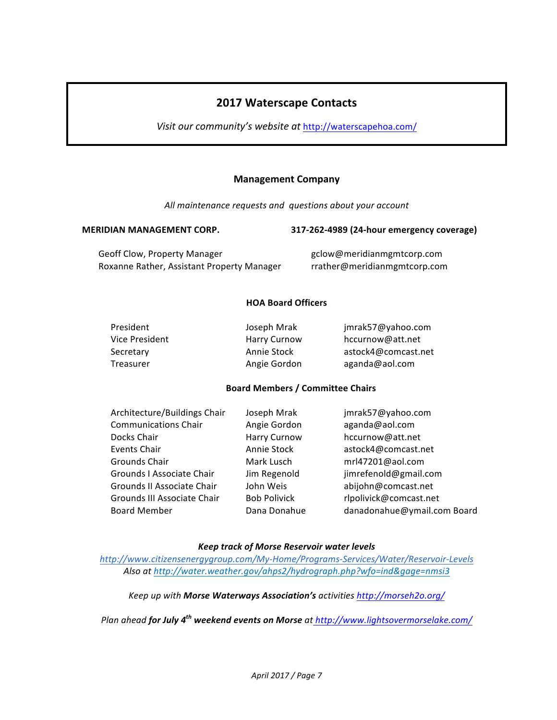## **2017 Waterscape Contacts**

Visit our community's website at http://waterscapehoa.com/

#### **Management Company**

All maintenance requests and questions about your account

#### **MERIDIAN MANAGEMENT CORP. 317-262-4989 (24-hour emergency coverage)**

Geoff Clow, Property Manager example and the group gclow@meridianmgmtcorp.com Roxanne Rather, Assistant Property Manager rrather@meridianmgmtcorp.com

#### **HOA Board Officers**

| President      | Joseph Mrak         | jmrak57@yahoo.com   |
|----------------|---------------------|---------------------|
| Vice President | <b>Harry Curnow</b> | hccurnow@att.net    |
| Secretary      | Annie Stock         | astock4@comcast.net |
| Treasurer      | Angie Gordon        | aganda@aol.com      |

#### **Board Members / Committee Chairs**

| Architecture/Buildings Chair<br><b>Communications Chair</b> | Joseph Mrak<br>Angie Gordon | jmrak57@yahoo.com<br>aganda@aol.com |
|-------------------------------------------------------------|-----------------------------|-------------------------------------|
| Docks Chair                                                 | Harry Curnow                | hccurnow@att.net                    |
| <b>Events Chair</b>                                         | Annie Stock                 | astock4@comcast.net                 |
| Grounds Chair                                               | Mark Lusch                  | mrl47201@aol.com                    |
| Grounds I Associate Chair                                   | Jim Regenold                | jimrefenold@gmail.com               |
| Grounds II Associate Chair                                  | John Weis                   | abijohn@comcast.net                 |
| Grounds III Associate Chair                                 | <b>Bob Polivick</b>         | rlpolivick@comcast.net              |
| <b>Board Member</b>                                         | Dana Donahue                | danadonahue@ymail.com Board         |

#### *Keep track of Morse Reservoir water levels*

*http://www.citizensenergygroup.com/My-Home/Programs-Services/Water/Reservoir-Levels* Also at http://water.weather.gov/ahps2/hydrograph.php?wfo=ind&gage=nmsi3

*Keep up with Morse Waterways Association's activities http://morseh2o.org/*

*Plan ahead for July 4th weekend events on Morse at http://www.lightsovermorselake.com/*